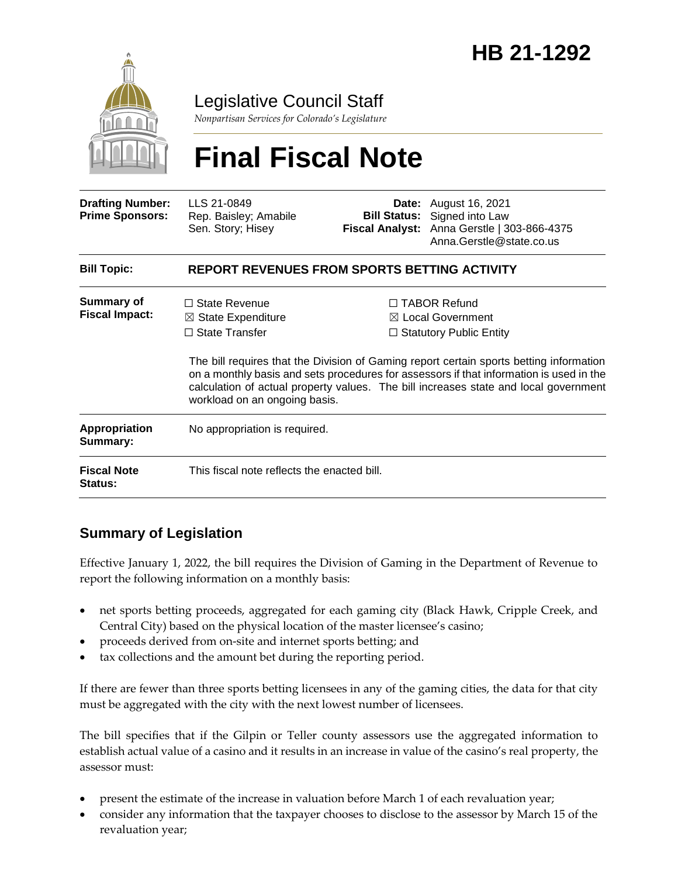

Legislative Council Staff

*Nonpartisan Services for Colorado's Legislature*

# **Final Fiscal Note**

| <b>Drafting Number:</b><br><b>Prime Sponsors:</b> | LLS 21-0849<br>Rep. Baisley; Amabile<br>Sen. Story; Hisey                                                       |  | <b>Date:</b> August 16, 2021<br><b>Bill Status:</b> Signed into Law<br>Fiscal Analyst: Anna Gerstle   303-866-4375<br>Anna.Gerstle@state.co.us                                                                                                                                                                                                                      |  |
|---------------------------------------------------|-----------------------------------------------------------------------------------------------------------------|--|---------------------------------------------------------------------------------------------------------------------------------------------------------------------------------------------------------------------------------------------------------------------------------------------------------------------------------------------------------------------|--|
| <b>Bill Topic:</b>                                | <b>REPORT REVENUES FROM SPORTS BETTING ACTIVITY</b>                                                             |  |                                                                                                                                                                                                                                                                                                                                                                     |  |
| <b>Summary of</b><br><b>Fiscal Impact:</b>        | $\Box$ State Revenue<br>$\boxtimes$ State Expenditure<br>$\Box$ State Transfer<br>workload on an ongoing basis. |  | $\Box$ TABOR Refund<br>$\boxtimes$ Local Government<br>$\Box$ Statutory Public Entity<br>The bill requires that the Division of Gaming report certain sports betting information<br>on a monthly basis and sets procedures for assessors if that information is used in the<br>calculation of actual property values. The bill increases state and local government |  |
| <b>Appropriation</b><br>Summary:                  | No appropriation is required.                                                                                   |  |                                                                                                                                                                                                                                                                                                                                                                     |  |
| <b>Fiscal Note</b><br>Status:                     | This fiscal note reflects the enacted bill.                                                                     |  |                                                                                                                                                                                                                                                                                                                                                                     |  |

## **Summary of Legislation**

Effective January 1, 2022, the bill requires the Division of Gaming in the Department of Revenue to report the following information on a monthly basis:

- net sports betting proceeds, aggregated for each gaming city (Black Hawk, Cripple Creek, and Central City) based on the physical location of the master licensee's casino;
- proceeds derived from on-site and internet sports betting; and
- tax collections and the amount bet during the reporting period.

If there are fewer than three sports betting licensees in any of the gaming cities, the data for that city must be aggregated with the city with the next lowest number of licensees.

The bill specifies that if the Gilpin or Teller county assessors use the aggregated information to establish actual value of a casino and it results in an increase in value of the casino's real property, the assessor must:

- present the estimate of the increase in valuation before March 1 of each revaluation year;
- consider any information that the taxpayer chooses to disclose to the assessor by March 15 of the revaluation year;